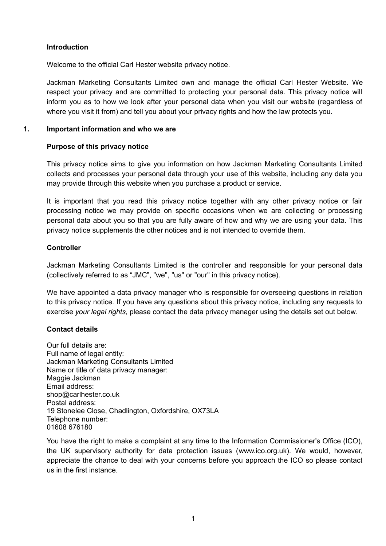## **Introduction**

Welcome to the official Carl Hester website privacy notice.

Jackman Marketing Consultants Limited own and manage the official Carl Hester Website. We respect your privacy and are committed to protecting your personal data. This privacy notice will inform you as to how we look after your personal data when you visit our website (regardless of where you visit it from) and tell you about your privacy rights and how the law protects you.

#### **1. Important information and who we are**

#### **Purpose of this privacy notice**

This privacy notice aims to give you information on how Jackman Marketing Consultants Limited collects and processes your personal data through your use of this website, including any data you may provide through this website when you purchase a product or service.

It is important that you read this privacy notice together with any other privacy notice or fair processing notice we may provide on specific occasions when we are collecting or processing personal data about you so that you are fully aware of how and why we are using your data. This privacy notice supplements the other notices and is not intended to override them.

#### **Controller**

Jackman Marketing Consultants Limited is the controller and responsible for your personal data (collectively referred to as "JMC", "we", "us" or "our" in this privacy notice).

We have appointed a data privacy manager who is responsible for overseeing questions in relation to this privacy notice. If you have any questions about this privacy notice, including any requests to exercise *your legal rights*, please contact the data privacy manager using the details set out below.

#### <span id="page-0-0"></span>**Contact details**

Our full details are: Full name of legal entity: Jackman Marketing Consultants Limited Name or title of data privacy manager: Maggie Jackman Email address: shop@carlhester.co.uk Postal address: 19 Stonelee Close, Chadlington, Oxfordshire, OX73LA Telephone number: 01608 676180

You have the right to make a complaint at any time to the Information Commissioner's Office (ICO), the UK supervisory authority for data protection issues (www.ico.org.uk). We would, however, appreciate the chance to deal with your concerns before you approach the ICO so please contact us in the first instance.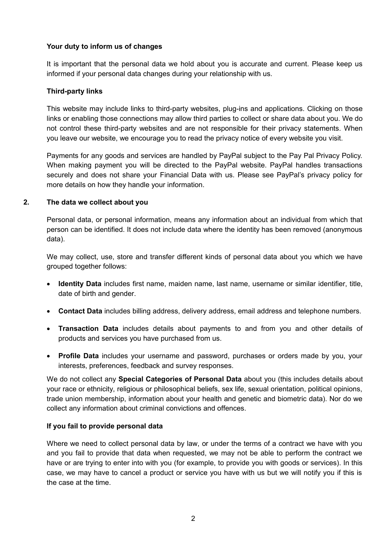## **Your duty to inform us of changes**

It is important that the personal data we hold about you is accurate and current. Please keep us informed if your personal data changes during your relationship with us.

## **Third-party links**

This website may include links to third-party websites, plug-ins and applications. Clicking on those links or enabling those connections may allow third parties to collect or share data about you. We do not control these third-party websites and are not responsible for their privacy statements. When you leave our website, we encourage you to read the privacy notice of every website you visit.

Payments for any goods and services are handled by PayPal subject to the Pay Pal Privacy Policy. When making payment you will be directed to the PayPal website. PayPal handles transactions securely and does not share your Financial Data with us. Please see PayPal's privacy policy for more details on how they handle your information.

## **2. The data we collect about you**

Personal data, or personal information, means any information about an individual from which that person can be identified. It does not include data where the identity has been removed (anonymous data).

We may collect, use, store and transfer different kinds of personal data about you which we have grouped together follows:

- **Identity Data** includes first name, maiden name, last name, username or similar identifier, title, date of birth and gender.
- **Contact Data** includes billing address, delivery address, email address and telephone numbers.
- **Transaction Data** includes details about payments to and from you and other details of products and services you have purchased from us.
- **Profile Data** includes your username and password, purchases or orders made by you, your interests, preferences, feedback and survey responses.

We do not collect any **Special Categories of Personal Data** about you (this includes details about your race or ethnicity, religious or philosophical beliefs, sex life, sexual orientation, political opinions, trade union membership, information about your health and genetic and biometric data). Nor do we collect any information about criminal convictions and offences.

#### **If you fail to provide personal data**

Where we need to collect personal data by law, or under the terms of a contract we have with you and you fail to provide that data when requested, we may not be able to perform the contract we have or are trying to enter into with you (for example, to provide you with goods or services). In this case, we may have to cancel a product or service you have with us but we will notify you if this is the case at the time.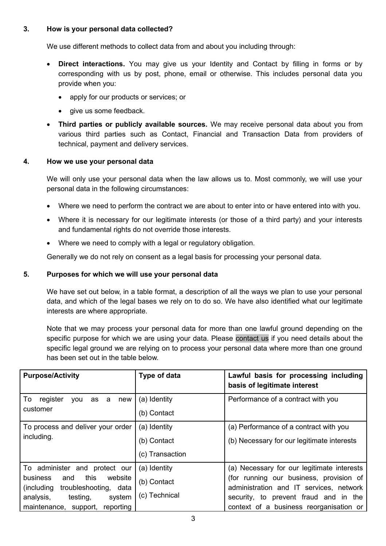## **3. How is your personal data collected?**

We use different methods to collect data from and about you including through:

- **Direct interactions.** You may give us your Identity and Contact by filling in forms or by corresponding with us by post, phone, email or otherwise. This includes personal data you provide when you:
	- apply for our products or services; or
	- give us some feedback.
- **Third parties or publicly available sources.** We may receive personal data about you from various third parties such as Contact, Financial and Transaction Data from providers of technical, payment and delivery services.

#### **4. How we use your personal data**

We will only use your personal data when the law allows us to. Most commonly, we will use your personal data in the following circumstances:

- Where we need to perform the contract we are about to enter into or have entered into with you.
- Where it is necessary for our legitimate interests (or those of a third party) and your interests and fundamental rights do not override those interests.
- Where we need to comply with a legal or regulatory obligation.

Generally we do not rely on consent as a legal basis for processing your personal data.

#### **5. Purposes for which we will use your personal data**

We have set out below, in a table format, a description of all the ways we plan to use your personal data, and which of the legal bases we rely on to do so. We have also identified what our legitimate interests are where appropriate.

Note that we may process your personal data for more than one lawful ground depending on the specific purpose for which we are using your data. Please [contact us](#page-0-0) if you need details about the specific legal ground we are relying on to process your personal data where more than one ground has been set out in the table below.

| <b>Purpose/Activity</b>                                                                                      | Type of data    | Lawful basis for processing including<br>basis of legitimate interest              |
|--------------------------------------------------------------------------------------------------------------|-----------------|------------------------------------------------------------------------------------|
| To<br>register<br>you<br>as<br>new<br>a                                                                      | (a) Identity    | Performance of a contract with you                                                 |
| customer                                                                                                     | (b) Contact     |                                                                                    |
| To process and deliver your order<br>including.                                                              | (a) Identity    | (a) Performance of a contract with you                                             |
|                                                                                                              | (b) Contact     | (b) Necessary for our legitimate interests                                         |
|                                                                                                              | (c) Transaction |                                                                                    |
| To administer and protect our                                                                                | (a) Identity    | (a) Necessary for our legitimate interests                                         |
| business<br>this<br>website<br>and<br>(including<br>troubleshooting, data<br>system<br>analysis,<br>testing, | (b) Contact     | (for running our business, provision of<br>administration and IT services, network |
|                                                                                                              | (c) Technical   | security, to prevent fraud and in the                                              |
| maintenance, support,<br>reporting                                                                           |                 | context of a business reorganisation or                                            |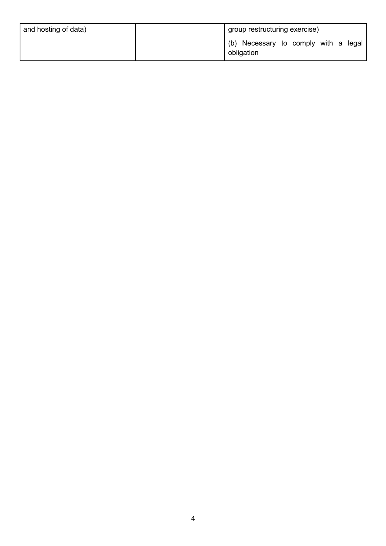| and hosting of data) | group restructuring exercise)                      |
|----------------------|----------------------------------------------------|
|                      | (b) Necessary to comply with a legal<br>obligation |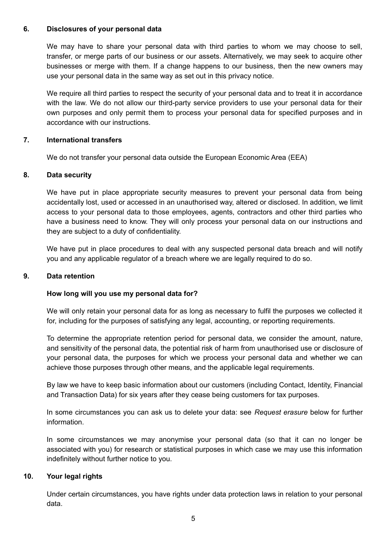## **6. Disclosures of your personal data**

We may have to share your personal data with third parties to whom we may choose to sell, transfer, or merge parts of our business or our assets. Alternatively, we may seek to acquire other businesses or merge with them. If a change happens to our business, then the new owners may use your personal data in the same way as set out in this privacy notice.

We require all third parties to respect the security of your personal data and to treat it in accordance with the law. We do not allow our third-party service providers to use your personal data for their own purposes and only permit them to process your personal data for specified purposes and in accordance with our instructions.

## **7. International transfers**

We do not transfer your personal data outside the European Economic Area (EEA)

## **8. Data security**

We have put in place appropriate security measures to prevent your personal data from being accidentally lost, used or accessed in an unauthorised way, altered or disclosed. In addition, we limit access to your personal data to those employees, agents, contractors and other third parties who have a business need to know. They will only process your personal data on our instructions and they are subject to a duty of confidentiality.

We have put in place procedures to deal with any suspected personal data breach and will notify you and any applicable regulator of a breach where we are legally required to do so.

## **9. Data retention**

#### **How long will you use my personal data for?**

We will only retain your personal data for as long as necessary to fulfil the purposes we collected it for, including for the purposes of satisfying any legal, accounting, or reporting requirements.

To determine the appropriate retention period for personal data, we consider the amount, nature, and sensitivity of the personal data, the potential risk of harm from unauthorised use or disclosure of your personal data, the purposes for which we process your personal data and whether we can achieve those purposes through other means, and the applicable legal requirements.

By law we have to keep basic information about our customers (including Contact, Identity, Financial and Transaction Data) for six years after they cease being customers for tax purposes.

In some circumstances you can ask us to delete your data: see *Request erasure* below for further information.

In some circumstances we may anonymise your personal data (so that it can no longer be associated with you) for research or statistical purposes in which case we may use this information indefinitely without further notice to you.

#### **10. Your legal rights**

Under certain circumstances, you have rights under data protection laws in relation to your personal data.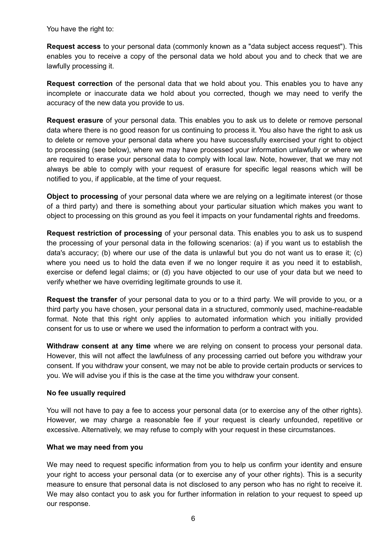You have the right to:

**Request access** to your personal data (commonly known as a "data subject access request"). This enables you to receive a copy of the personal data we hold about you and to check that we are lawfully processing it.

**Request correction** of the personal data that we hold about you. This enables you to have any incomplete or inaccurate data we hold about you corrected, though we may need to verify the accuracy of the new data you provide to us.

**Request erasure** of your personal data. This enables you to ask us to delete or remove personal data where there is no good reason for us continuing to process it. You also have the right to ask us to delete or remove your personal data where you have successfully exercised your right to object to processing (see below), where we may have processed your information unlawfully or where we are required to erase your personal data to comply with local law. Note, however, that we may not always be able to comply with your request of erasure for specific legal reasons which will be notified to you, if applicable, at the time of your request.

**Object to processing** of your personal data where we are relying on a legitimate interest (or those of a third party) and there is something about your particular situation which makes you want to object to processing on this ground as you feel it impacts on your fundamental rights and freedoms.

**Request restriction of processing** of your personal data. This enables you to ask us to suspend the processing of your personal data in the following scenarios: (a) if you want us to establish the data's accuracy; (b) where our use of the data is unlawful but you do not want us to erase it; (c) where you need us to hold the data even if we no longer require it as you need it to establish, exercise or defend legal claims; or (d) you have objected to our use of your data but we need to verify whether we have overriding legitimate grounds to use it.

**Request the transfer** of your personal data to you or to a third party. We will provide to you, or a third party you have chosen, your personal data in a structured, commonly used, machine-readable format. Note that this right only applies to automated information which you initially provided consent for us to use or where we used the information to perform a contract with you.

**Withdraw consent at any time** where we are relying on consent to process your personal data. However, this will not affect the lawfulness of any processing carried out before you withdraw your consent. If you withdraw your consent, we may not be able to provide certain products or services to you. We will advise you if this is the case at the time you withdraw your consent.

#### **No fee usually required**

You will not have to pay a fee to access your personal data (or to exercise any of the other rights). However, we may charge a reasonable fee if your request is clearly unfounded, repetitive or excessive. Alternatively, we may refuse to comply with your request in these circumstances.

#### **What we may need from you**

We may need to request specific information from you to help us confirm your identity and ensure your right to access your personal data (or to exercise any of your other rights). This is a security measure to ensure that personal data is not disclosed to any person who has no right to receive it. We may also contact you to ask you for further information in relation to your request to speed up our response.